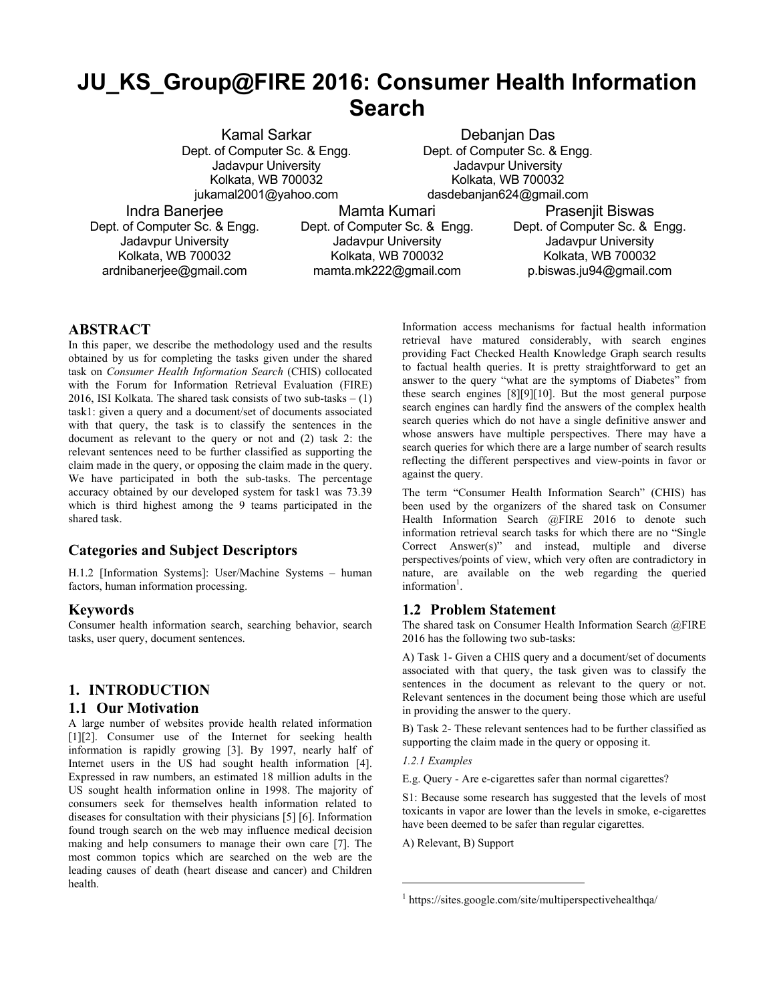# **JU\_KS\_Group@FIRE 2016: Consumer Health Information Search**

Kamal Sarkar Dept. of Computer Sc. & Engg. Jadavpur University Kolkata, WB 700032 jukamal2001@yahoo.com

Debanjan Das Dept. of Computer Sc. & Engg. Jadavpur University Kolkata, WB 700032 dasdebanjan624@gmail.com

Indra Banerjee Dept. of Computer Sc. & Engg. Jadavpur University Kolkata, WB 700032 ardnibanerjee@gmail.com

Mamta Kumari Dept. of Computer Sc. & Engg. Jadavpur University Kolkata, WB 700032 mamta.mk222@gmail.com

**Praseniit Biswas** Dept. of Computer Sc. & Engg. Jadavpur University Kolkata, WB 700032 p.biswas.ju94@gmail.com

# **ABSTRACT**

In this paper, we describe the methodology used and the results obtained by us for completing the tasks given under the shared task on *Consumer Health Information Search* (CHIS) collocated with the Forum for Information Retrieval Evaluation (FIRE) 2016, ISI Kolkata. The shared task consists of two sub-tasks  $- (1)$ task1: given a query and a document/set of documents associated with that query, the task is to classify the sentences in the document as relevant to the query or not and (2) task 2: the relevant sentences need to be further classified as supporting the claim made in the query, or opposing the claim made in the query. We have participated in both the sub-tasks. The percentage accuracy obtained by our developed system for task1 was 73.39 which is third highest among the 9 teams participated in the shared task.

# **Categories and Subject Descriptors**

H.1.2 [Information Systems]: User/Machine Systems – human factors, human information processing.

# **Keywords**

Consumer health information search, searching behavior, search tasks, user query, document sentences.

# **1. INTRODUCTION**

### **1.1 Our Motivation**

A large number of websites provide health related information [1][2]. Consumer use of the Internet for seeking health information is rapidly growing [3]. By 1997, nearly half of Internet users in the US had sought health information [4]. Expressed in raw numbers, an estimated 18 million adults in the US sought health information online in 1998. The majority of consumers seek for themselves health information related to diseases for consultation with their physicians [5] [6]. Information found trough search on the web may influence medical decision making and help consumers to manage their own care [7]. The most common topics which are searched on the web are the leading causes of death (heart disease and cancer) and Children health.

Information access mechanisms for factual health information retrieval have matured considerably, with search engines providing Fact Checked Health Knowledge Graph search results to factual health queries. It is pretty straightforward to get an answer to the query "what are the symptoms of Diabetes" from these search engines [8][9][10]. But the most general purpose search engines can hardly find the answers of the complex health search queries which do not have a single definitive answer and whose answers have multiple perspectives. There may have a search queries for which there are a large number of search results reflecting the different perspectives and view-points in favor or against the query.

The term "Consumer Health Information Search" (CHIS) has been used by the organizers of the shared task on Consumer Health Information Search @FIRE 2016 to denote such information retrieval search tasks for which there are no "Single Correct Answer(s)" and instead, multiple and diverse perspectives/points of view, which very often are contradictory in nature, are available on the web regarding the queried information<sup>1</sup>.

# **1.2 Problem Statement**

The shared task on Consumer Health Information Search @FIRE 2016 has the following two sub-tasks:

A) Task 1- Given a CHIS query and a document/set of documents associated with that query, the task given was to classify the sentences in the document as relevant to the query or not. Relevant sentences in the document being those which are useful in providing the answer to the query.

B) Task 2- These relevant sentences had to be further classified as supporting the claim made in the query or opposing it.

*1.2.1 Examples* 

1

E.g. Query - Are e-cigarettes safer than normal cigarettes?

S1: Because some research has suggested that the levels of most toxicants in vapor are lower than the levels in smoke, e-cigarettes have been deemed to be safer than regular cigarettes.

A) Relevant, B) Support

<sup>1</sup> https://sites.google.com/site/multiperspectivehealthqa/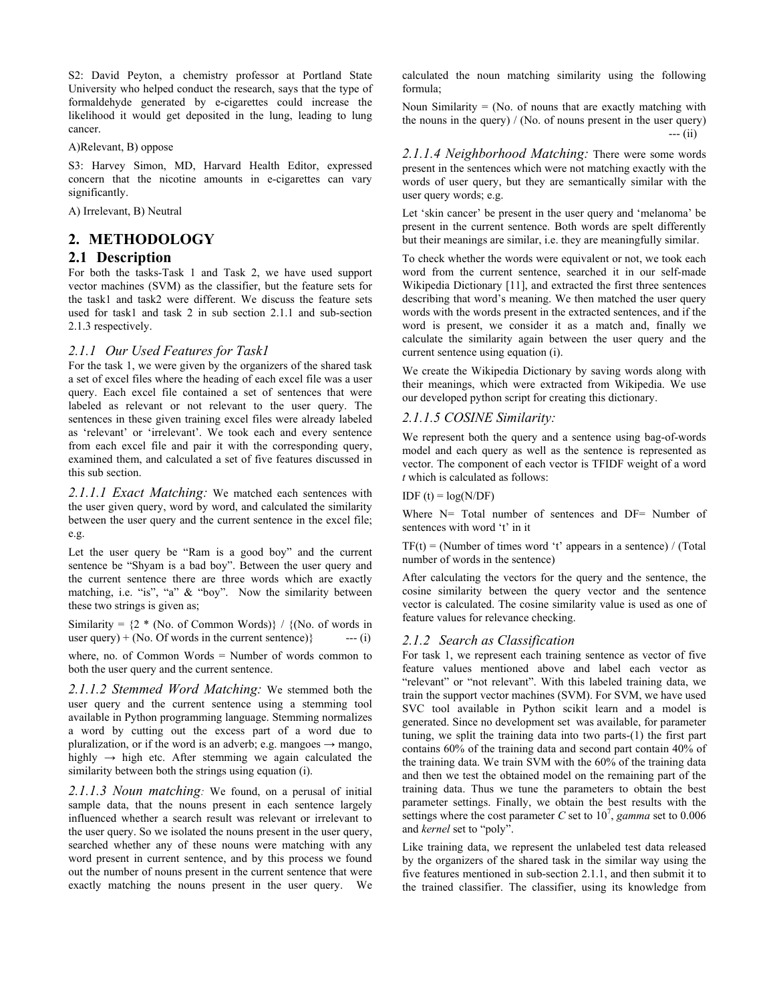S2: David Peyton, a chemistry professor at Portland State University who helped conduct the research, says that the type of formaldehyde generated by e-cigarettes could increase the likelihood it would get deposited in the lung, leading to lung cancer.

A)Relevant, B) oppose

S3: Harvey Simon, MD, Harvard Health Editor, expressed concern that the nicotine amounts in e-cigarettes can vary significantly.

A) Irrelevant, B) Neutral

# **2. METHODOLOGY**

# **2.1 Description**

For both the tasks-Task 1 and Task 2, we have used support vector machines (SVM) as the classifier, but the feature sets for the task1 and task2 were different. We discuss the feature sets used for task1 and task 2 in sub section 2.1.1 and sub-section 2.1.3 respectively.

#### *2.1.1 Our Used Features for Task1*

For the task 1, we were given by the organizers of the shared task a set of excel files where the heading of each excel file was a user query. Each excel file contained a set of sentences that were labeled as relevant or not relevant to the user query. The sentences in these given training excel files were already labeled as 'relevant' or 'irrelevant'. We took each and every sentence from each excel file and pair it with the corresponding query, examined them, and calculated a set of five features discussed in this sub section.

*2.1.1.1 Exact Matching:* We matched each sentences with the user given query, word by word, and calculated the similarity between the user query and the current sentence in the excel file; e.g.

Let the user query be "Ram is a good boy" and the current sentence be "Shyam is a bad boy". Between the user query and the current sentence there are three words which are exactly matching, i.e. "is", "a" & "boy". Now the similarity between these two strings is given as;

Similarity =  $\{2 * (No. of Common Words)\}$  /  $\{(No. of words in$ user query) + (No. Of words in the current sentence)  $\{i\}$  --- (i)

where, no. of Common Words = Number of words common to both the user query and the current sentence.

*2.1.1.2 Stemmed Word Matching:* We stemmed both the user query and the current sentence using a stemming tool available in Python programming language. Stemming normalizes a word by cutting out the excess part of a word due to pluralization, or if the word is an adverb; e.g. mangoes  $\rightarrow$  mango, highly  $\rightarrow$  high etc. After stemming we again calculated the similarity between both the strings using equation (i).

*2.1.1.3 Noun matching:* We found, on a perusal of initial sample data, that the nouns present in each sentence largely influenced whether a search result was relevant or irrelevant to the user query. So we isolated the nouns present in the user query, searched whether any of these nouns were matching with any word present in current sentence, and by this process we found out the number of nouns present in the current sentence that were exactly matching the nouns present in the user query. We calculated the noun matching similarity using the following formula;

Noun Similarity  $=$  (No. of nouns that are exactly matching with the nouns in the query) / (No. of nouns present in the user query) --- (ii)

*2.1.1.4 Neighborhood Matching:* There were some words present in the sentences which were not matching exactly with the words of user query, but they are semantically similar with the user query words; e.g.

Let 'skin cancer' be present in the user query and 'melanoma' be present in the current sentence. Both words are spelt differently but their meanings are similar, i.e. they are meaningfully similar.

To check whether the words were equivalent or not, we took each word from the current sentence, searched it in our self-made Wikipedia Dictionary [11], and extracted the first three sentences describing that word's meaning. We then matched the user query words with the words present in the extracted sentences, and if the word is present, we consider it as a match and, finally we calculate the similarity again between the user query and the current sentence using equation (i).

We create the Wikipedia Dictionary by saving words along with their meanings, which were extracted from Wikipedia. We use our developed python script for creating this dictionary.

#### *2.1.1.5 COSINE Similarity:*

We represent both the query and a sentence using bag-of-words model and each query as well as the sentence is represented as vector. The component of each vector is TFIDF weight of a word *t* which is calculated as follows:

#### IDF  $(t) = log(N/DF)$

Where N= Total number of sentences and DF= Number of sentences with word 't' in it

 $TF(t) = (Number of times word 't' appears in a sentence) / (Total)$ number of words in the sentence)

After calculating the vectors for the query and the sentence, the cosine similarity between the query vector and the sentence vector is calculated. The cosine similarity value is used as one of feature values for relevance checking.

#### *2.1.2 Search as Classification*

For task 1, we represent each training sentence as vector of five feature values mentioned above and label each vector as "relevant" or "not relevant". With this labeled training data, we train the support vector machines (SVM). For SVM, we have used SVC tool available in Python scikit learn and a model is generated. Since no development set was available, for parameter tuning, we split the training data into two parts-(1) the first part contains 60% of the training data and second part contain 40% of the training data. We train SVM with the 60% of the training data and then we test the obtained model on the remaining part of the training data. Thus we tune the parameters to obtain the best parameter settings. Finally, we obtain the best results with the settings where the cost parameter *C* set to  $10^7$ , *gamma* set to 0.006 and *kernel* set to "poly".

Like training data, we represent the unlabeled test data released by the organizers of the shared task in the similar way using the five features mentioned in sub-section 2.1.1, and then submit it to the trained classifier. The classifier, using its knowledge from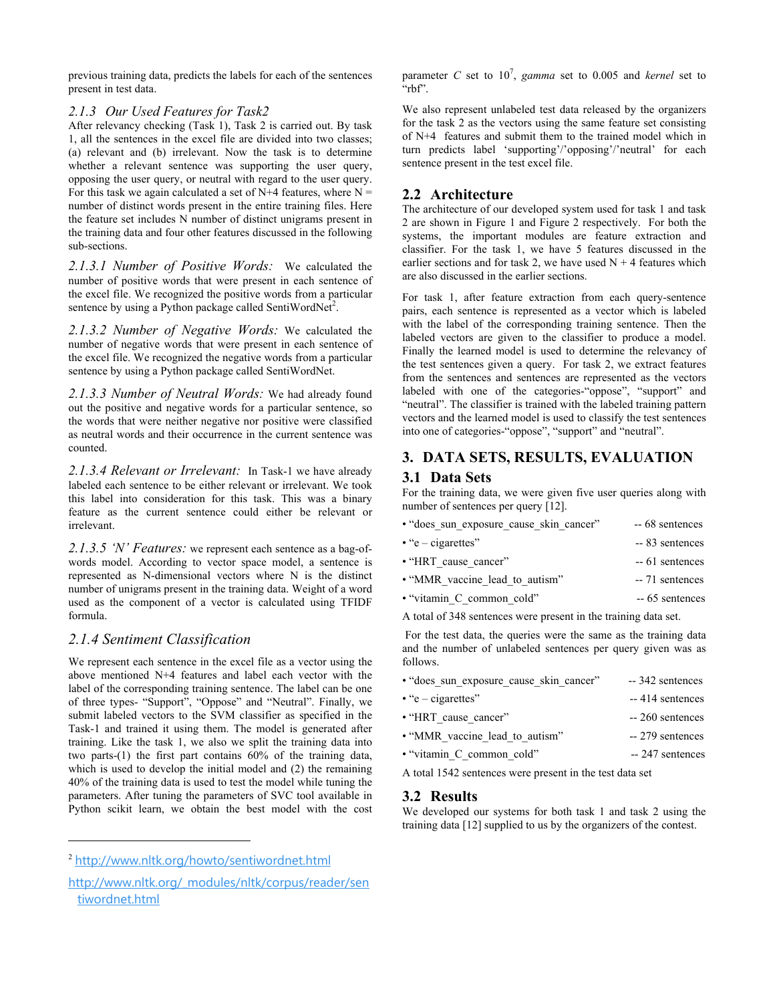previous training data, predicts the labels for each of the sentences present in test data.

### *2.1.3 Our Used Features for Task2*

After relevancy checking (Task 1), Task 2 is carried out. By task 1, all the sentences in the excel file are divided into two classes; (a) relevant and (b) irrelevant. Now the task is to determine whether a relevant sentence was supporting the user query, opposing the user query, or neutral with regard to the user query. For this task we again calculated a set of  $N+4$  features, where  $N =$ number of distinct words present in the entire training files. Here the feature set includes N number of distinct unigrams present in the training data and four other features discussed in the following sub-sections.

*2.1.3.1 Number of Positive Words:* We calculated the number of positive words that were present in each sentence of the excel file. We recognized the positive words from a particular sentence by using a Python package called SentiWordNet<sup>2</sup>.

*2.1.3.2 Number of Negative Words:* We calculated the number of negative words that were present in each sentence of the excel file. We recognized the negative words from a particular sentence by using a Python package called SentiWordNet.

*2.1.3.3 Number of Neutral Words:* We had already found out the positive and negative words for a particular sentence, so the words that were neither negative nor positive were classified as neutral words and their occurrence in the current sentence was counted.

*2.1.3.4 Relevant or Irrelevant:* In Task-1 we have already labeled each sentence to be either relevant or irrelevant. We took this label into consideration for this task. This was a binary feature as the current sentence could either be relevant or irrelevant.

*2.1.3.5 'N' Features:* we represent each sentence as a bag-ofwords model. According to vector space model, a sentence is represented as N-dimensional vectors where N is the distinct number of unigrams present in the training data. Weight of a word used as the component of a vector is calculated using TFIDF formula.

# *2.1.4 Sentiment Classification*

 $\overline{a}$ 

We represent each sentence in the excel file as a vector using the above mentioned N+4 features and label each vector with the label of the corresponding training sentence. The label can be one of three types- "Support", "Oppose" and "Neutral". Finally, we submit labeled vectors to the SVM classifier as specified in the Task-1 and trained it using them. The model is generated after training. Like the task 1, we also we split the training data into two parts-(1) the first part contains 60% of the training data, which is used to develop the initial model and (2) the remaining 40% of the training data is used to test the model while tuning the parameters. After tuning the parameters of SVC tool available in Python scikit learn, we obtain the best model with the cost

<sup>2</sup> http://www.nltk.org/howto/sentiwordnet.html

parameter *C* set to  $10^7$ , *gamma* set to 0.005 and *kernel* set to  $\lq$ <sup>"</sup>rhf"

We also represent unlabeled test data released by the organizers for the task 2 as the vectors using the same feature set consisting of N+4 features and submit them to the trained model which in turn predicts label 'supporting'/'opposing'/'neutral' for each sentence present in the test excel file.

# **2.2 Architecture**

The architecture of our developed system used for task 1 and task 2 are shown in Figure 1 and Figure 2 respectively. For both the systems, the important modules are feature extraction and classifier. For the task 1, we have 5 features discussed in the earlier sections and for task 2, we have used  $N + 4$  features which are also discussed in the earlier sections.

For task 1, after feature extraction from each query-sentence pairs, each sentence is represented as a vector which is labeled with the label of the corresponding training sentence. Then the labeled vectors are given to the classifier to produce a model. Finally the learned model is used to determine the relevancy of the test sentences given a query. For task 2, we extract features from the sentences and sentences are represented as the vectors labeled with one of the categories-"oppose", "support" and "neutral". The classifier is trained with the labeled training pattern vectors and the learned model is used to classify the test sentences into one of categories-"oppose", "support" and "neutral".

# **3. DATA SETS, RESULTS, EVALUATION**

# **3.1 Data Sets**

For the training data, we were given five user queries along with number of sentences per query [12].

| • "does sun exposure cause skin cancer" | -- 68 sentences |
|-----------------------------------------|-----------------|
| $\cdot$ "e – cigarettes"                | -- 83 sentences |
| • "HRT cause cancer"                    | -- 61 sentences |
| • "MMR vaccine lead to autism"          | -- 71 sentences |
| • "vitamin C common cold"               | -- 65 sentences |
|                                         |                 |

A total of 348 sentences were present in the training data set.

 For the test data, the queries were the same as the training data and the number of unlabeled sentences per query given was as follows.

| • "does sun exposure cause skin cancer" | -- 342 sentences |
|-----------------------------------------|------------------|
| $\cdot$ "e – cigarettes"                | -- 414 sentences |
| • "HRT cause cancer"                    | -- 260 sentences |
| • "MMR vaccine lead to autism"          | -- 279 sentences |
| • "vitamin C common cold"               | -- 247 sentences |
|                                         |                  |

A total 1542 sentences were present in the test data set

# **3.2 Results**

We developed our systems for both task 1 and task 2 using the training data [12] supplied to us by the organizers of the contest.

http://www.nltk.org/\_modules/nltk/corpus/reader/sen tiwordnet.html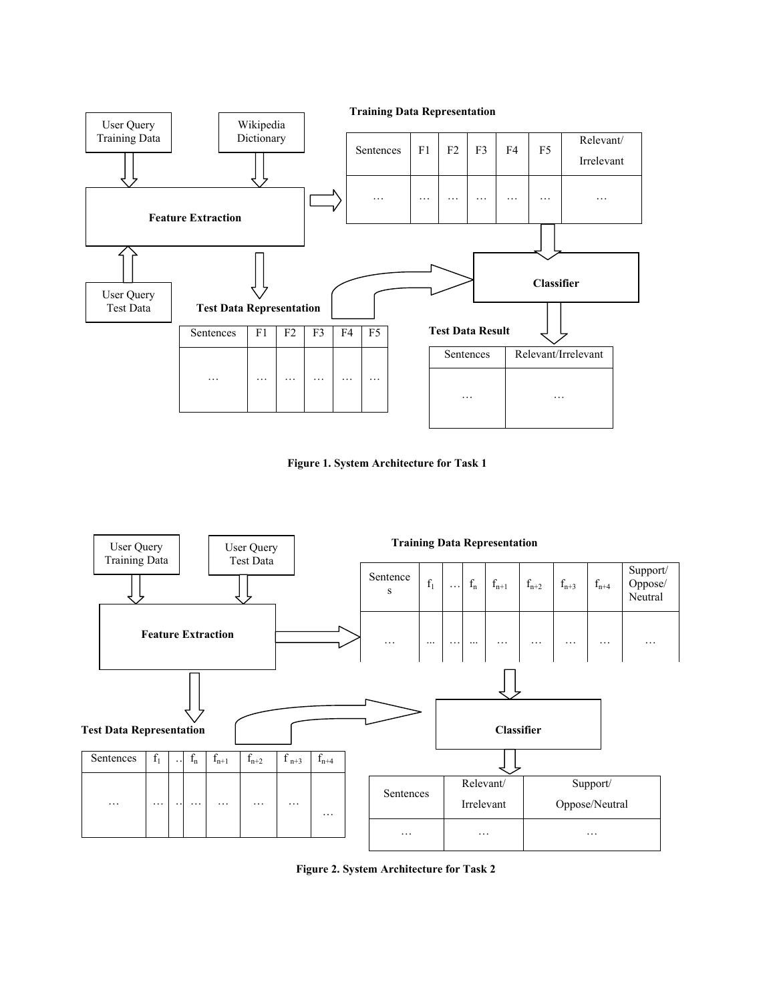

**Figure 1. System Architecture for Task 1** 



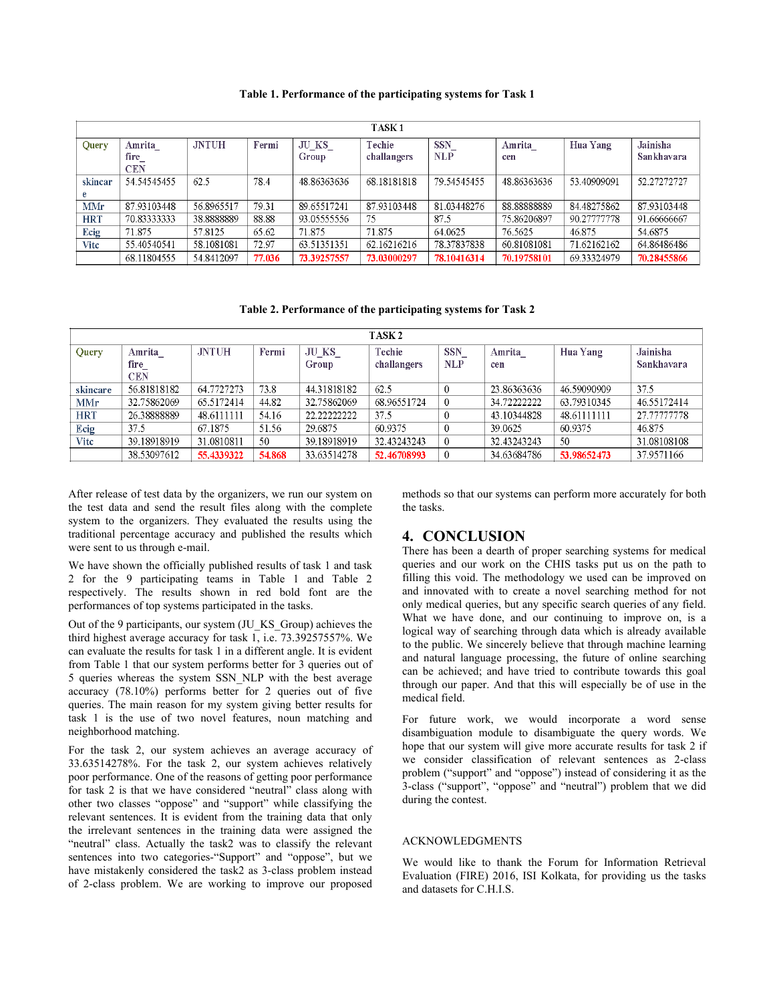| TASK <sub>1</sub> |                               |              |        |                |                       |                          |               |             |                        |
|-------------------|-------------------------------|--------------|--------|----------------|-----------------------|--------------------------|---------------|-------------|------------------------|
| Query             | Amrita<br>fire_<br><b>CEN</b> | <b>JNTUH</b> | Fermi  | JU KS<br>Group | Techie<br>challangers | <b>SSN</b><br><b>NLP</b> | Amrita<br>cen | Hua Yang    | Jainisha<br>Sankhavara |
| skincar<br>e      | 54.54545455                   | 62.5         | 78.4   | 48.86363636    | 68.18181818           | 79.54545455              | 48.86363636   | 53.40909091 | 52.27272727            |
| <b>MMr</b>        | 87.93103448                   | 56.8965517   | 79.31  | 89.65517241    | 87.93103448           | 81.03448276              | 88.88888889   | 84.48275862 | 87.93103448            |
| <b>HRT</b>        | 70.83333333                   | 38.8888889   | 88.88  | 93.05555556    | 75                    | 87.5                     | 75.86206897   | 90.27777778 | 91.66666667            |
| Ecig              | 71.875                        | 57.8125      | 65.62  | 71.875         | 71.875                | 64.0625                  | 76.5625       | 46.875      | 54.6875                |
| <b>Vitc</b>       | 55.40540541                   | 58.1081081   | 72.97  | 63.51351351    | 62.16216216           | 78.37837838              | 60.81081081   | 71.62162162 | 64.86486486            |
|                   | 68.11804555                   | 54.8412097   | 77.036 | 73.39257557    | 73.03000297           | 78.10416314              | 70.19758101   | 69.33324979 | 70.28455866            |

#### **Table 1. Performance of the participating systems for Task 1**

**Table 2. Performance of the participating systems for Task 2** 

| TASK <sub>2</sub> |                              |              |        |                |                       |                   |               |             |                        |
|-------------------|------------------------------|--------------|--------|----------------|-----------------------|-------------------|---------------|-------------|------------------------|
| Query             | Amrita<br>fire<br><b>CEN</b> | <b>JNTUH</b> | Fermi  | JU KS<br>Group | Techie<br>challangers | <b>SSN</b><br>NLP | Amrita<br>cen | Hua Yang    | Jainisha<br>Sankhavara |
| skincare          | 56.81818182                  | 64.7727273   | 73.8   | 44.31818182    | 62.5                  |                   | 23.86363636   | 46.59090909 | 37.5                   |
| <b>MMr</b>        | 32.75862069                  | 65.5172414   | 44.82  | 32.75862069    | 68.96551724           | $\mathbf 0$       | 34.72222222   | 63.79310345 | 46.55172414            |
| <b>HRT</b>        | 26.38888889                  | 48.6111111   | 54.16  | 22.22222222    | 37.5                  | 0                 | 43.10344828   | 48.61111111 | 27.77777778            |
| Ecig              | 37.5                         | 67.1875      | 51.56  | 29.6875        | 60.9375               | $\boldsymbol{0}$  | 39.0625       | 60.9375     | 46.875                 |
| <b>Vitc</b>       | 39.18918919                  | 31.0810811   | 50     | 39.18918919    | 32.43243243           | $\theta$          | 32.43243243   | 50          | 31.08108108            |
|                   | 38.53097612                  | 55.4339322   | 54.868 | 33.63514278    | 52.46708993           | $\boldsymbol{0}$  | 34.63684786   | 53.98652473 | 37.9571166             |

After release of test data by the organizers, we run our system on the test data and send the result files along with the complete system to the organizers. They evaluated the results using the traditional percentage accuracy and published the results which were sent to us through e-mail.

We have shown the officially published results of task 1 and task 2 for the 9 participating teams in Table 1 and Table 2 respectively. The results shown in red bold font are the performances of top systems participated in the tasks.

Out of the 9 participants, our system (JU\_KS\_Group) achieves the third highest average accuracy for task 1, i.e. 73.39257557%. We can evaluate the results for task 1 in a different angle. It is evident from Table 1 that our system performs better for 3 queries out of 5 queries whereas the system SSN\_NLP with the best average accuracy (78.10%) performs better for 2 queries out of five queries. The main reason for my system giving better results for task 1 is the use of two novel features, noun matching and neighborhood matching.

For the task 2, our system achieves an average accuracy of 33.63514278%. For the task 2, our system achieves relatively poor performance. One of the reasons of getting poor performance for task 2 is that we have considered "neutral" class along with other two classes "oppose" and "support" while classifying the relevant sentences. It is evident from the training data that only the irrelevant sentences in the training data were assigned the "neutral" class. Actually the task2 was to classify the relevant sentences into two categories-"Support" and "oppose", but we have mistakenly considered the task2 as 3-class problem instead of 2-class problem. We are working to improve our proposed

methods so that our systems can perform more accurately for both the tasks.

# **4. CONCLUSION**

There has been a dearth of proper searching systems for medical queries and our work on the CHIS tasks put us on the path to filling this void. The methodology we used can be improved on and innovated with to create a novel searching method for not only medical queries, but any specific search queries of any field. What we have done, and our continuing to improve on, is a logical way of searching through data which is already available to the public. We sincerely believe that through machine learning and natural language processing, the future of online searching can be achieved; and have tried to contribute towards this goal through our paper. And that this will especially be of use in the medical field.

For future work, we would incorporate a word sense disambiguation module to disambiguate the query words. We hope that our system will give more accurate results for task 2 if we consider classification of relevant sentences as 2-class problem ("support" and "oppose") instead of considering it as the 3-class ("support", "oppose" and "neutral") problem that we did during the contest.

#### ACKNOWLEDGMENTS

We would like to thank the Forum for Information Retrieval Evaluation (FIRE) 2016, ISI Kolkata, for providing us the tasks and datasets for C.H.I.S.